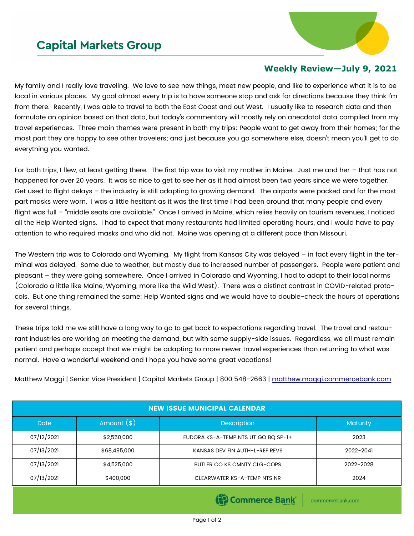## **Capital Markets Group**



## **Weekly Review—July 9, 2021**

My family and I really love traveling. We love to see new things, meet new people, and like to experience what it is to be local in various places. My goal almost every trip is to have someone stop and ask for directions because they think I'm from there. Recently, I was able to travel to both the East Coast and out West. I usually like to research data and then formulate an opinion based on that data, but today's commentary will mostly rely on anecdotal data compiled from my travel experiences. Three main themes were present in both my trips: People want to get away from their homes; for the most part they are happy to see other travelers; and just because you go somewhere else, doesn't mean you'll get to do everything you wanted.

For both trips, I flew, at least getting there. The first trip was to visit my mother in Maine. Just me and her – that has not happened for over 20 years. It was so nice to get to see her as it had almost been two years since we were together. Get used to flight delays – the industry is still adapting to growing demand. The airports were packed and for the most part masks were worn. I was a little hesitant as it was the first time I had been around that many people and every flight was full – "middle seats are available." Once I arrived in Maine, which relies heavily on tourism revenues, I noticed all the Help Wanted signs. I had to expect that many restaurants had limited operating hours, and I would have to pay attention to who required masks and who did not. Maine was opening at a different pace than Missouri.

The Western trip was to Colorado and Wyoming. My flight from Kansas City was delayed – in fact every flight in the terminal was delayed. Some due to weather, but mostly due to increased number of passengers. People were patient and pleasant – they were going somewhere. Once I arrived in Colorado and Wyoming, I had to adapt to their local norms (Colorado a little like Maine, Wyoming, more like the Wild West). There was a distinct contrast in COVID-related protocols. But one thing remained the same: Help Wanted signs and we would have to double-check the hours of operations for several things.

These trips told me we still have a long way to go to get back to expectations regarding travel. The travel and restaurant industries are working on meeting the demand, but with some supply-side issues. Regardless, we all must remain patient and perhaps accept that we might be adapting to more newer travel experiences than returning to what was normal. Have a wonderful weekend and I hope you have some great vacations!

Matthew Maggi | Senior Vice President | Capital Markets Group | 800 548-2663 | [matthew.maggi.commercebank.com](mailto:matthew.maggi@commercebank.com)

| <b>NEW ISSUE MUNICIPAL CALENDAR</b> |               |                                     |                 |  |  |
|-------------------------------------|---------------|-------------------------------------|-----------------|--|--|
| <b>Date</b>                         | Amount $(\$)$ | Description                         | <b>Maturity</b> |  |  |
| 07/12/2021                          | \$2,550,000   | EUDORA KS-A-TEMP NTS UT GO BQ SP-1+ | 2023            |  |  |
| 07/13/2021                          | \$68,495,000  | KANSAS DEV FIN AUTH-L-REF REVS      | 2022-2041       |  |  |
| 07/13/2021                          | \$4,525,000   | BUTLER CO KS CMNTY CLG-COPS         | 2022-2028       |  |  |
| 07/13/2021                          | \$400,000     | CLEARWATER KS-A-TEMP NTS NR         | 2024            |  |  |

(B) Commerce Bank

commercebank.com